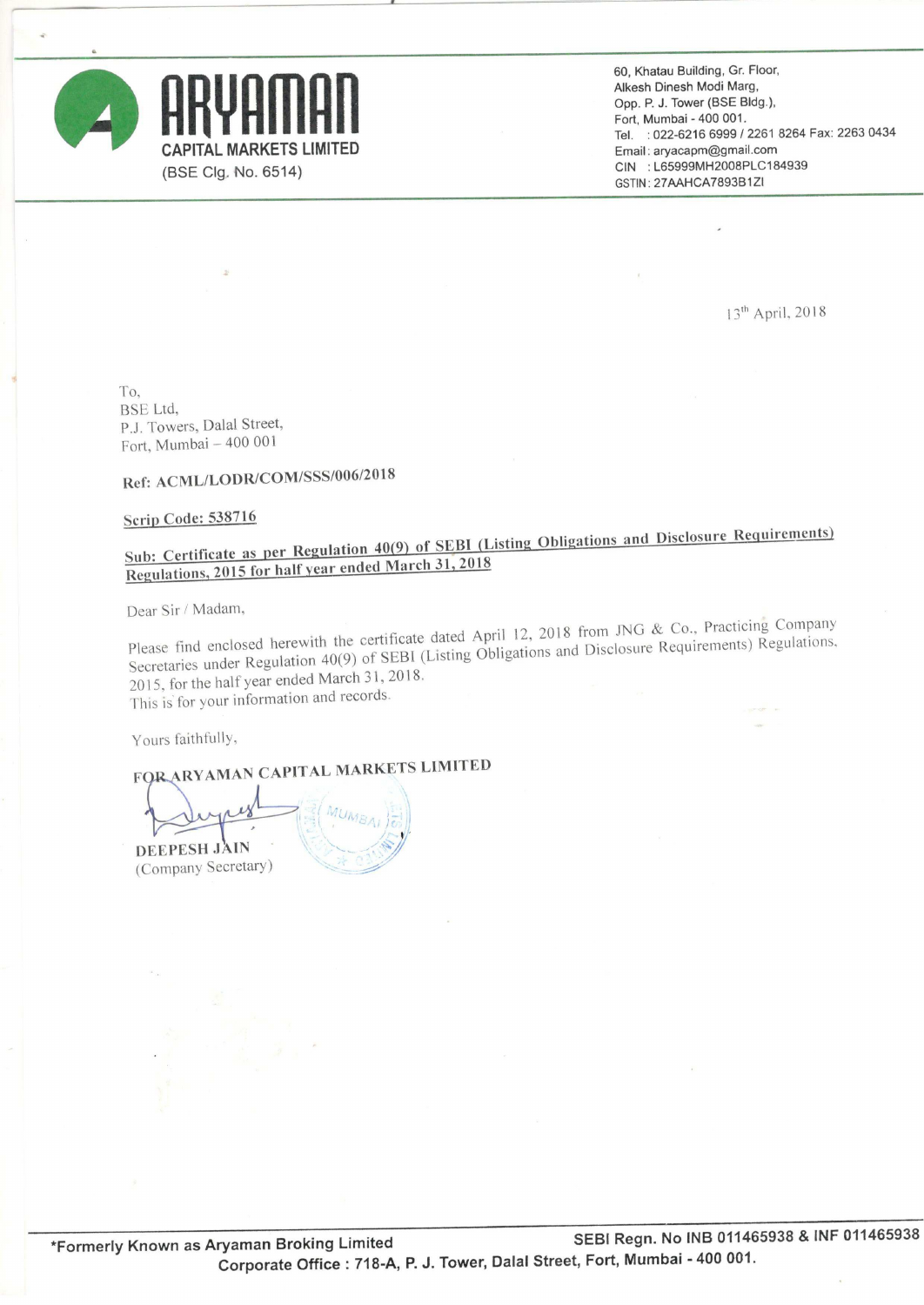



60, Khatau Building, Gr. Floor, Alkesh Dinesh Modi Marg, Opp. P. J. Tower (BSE Bldg), Fort, Mumbai — 400 001. CAPITAL MARKETS LIMITED gel. '1: 022-6216 6999/2261 <sup>8264</sup> Fax: <sup>2263</sup> <sup>0434</sup> Email: aryacapm@gmail.com ( Clg. No. 6514) CIN :L65999MH2008PLC184939 GSTIN: 27AAHCA7893B1ZI

13'" April. 2018

To, BSE Ltd. P.J. Towers, Dalal Street, Fort. Mumbai — 400 001

### Ref: ACML/LODR/COM/SSS/006/2018

#### Scrip Code: 538716

## Sub: Certificate as per Regulation 40(9) of SEBI (Listing Obligations and Disclosure Requirements) Regulations, <sup>2015</sup> for half vear ended March 31, <sup>2018</sup>

Dear Sir / Madam,

Please find enclosed herewith the certificate dated April 12, <sup>2018</sup> from JNG & C0.. Practicing Company Secretaries under Regulation 40(9) of SEBI (Listing Obligations and Disclosure Requirements) Regulations, 2015. for the half year ended March 31, 2018, This is for your information and records.

Yours faithfully.

FOR ARYAMAN CAPITAL MARKETS LIMITED

 $||\leq$   $||$   $M$ U $_{MSA}$   $||=$ '  $11$ DEEPESHJAIN - 19/10/10/10 (Company Secretary)